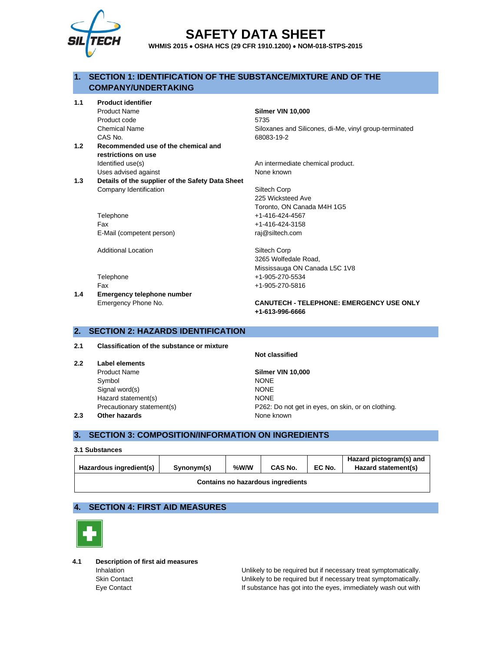

# **SAFETY DATA SHEET**

**WHMIS 2015** • **OSHA HCS (29 CFR 1910.1200)** • **NOM-018-STPS-2015**

# **1. SECTION 1: IDENTIFICATION OF THE SUBSTANCE/MIXTURE AND OF THE COMPANY/UNDERTAKING**

**1.1 Product identifier**

Product Name **Silmer VIN 10,000** Product code 5735 Chemical Name Siloxanes and Silicones, di-Me, vinyl group-terminated CAS No. 68083-19-2

- **1.2 Recommended use of the chemical and restrictions on use** Identified use(s) and intermediate chemical product. Uses advised against None known
- **1.3 Details of the supplier of the Safety Data Sheet** Company Identification Siltech Corp

Telephone +1-416-424-4567 Fax +1-416-424-3158 E-Mail (competent person) raj@siltech.com

Additional Location **Siltech Corp** 

Telephone +1-905-270-5534 Fax +1-905-270-5816

**1.4 Emergency telephone number** Emergency Phone No. **CANUTECH - TELEPHONE: EMERGENCY USE ONLY**

# **2. SECTION 2: HAZARDS IDENTIFICATION**

#### **2.1 Classification of the substance or mixture**

**2.2 Label elements** Product Name **Silmer VIN 10,000** Symbol NONE Signal word(s) NONE Hazard statement(s) NONE **2.3 Other hazards None known** 

**Not classified**

**+1-613-996-6666**

225 Wicksteed Ave

3265 Wolfedale Road,

Toronto, ON Canada M4H 1G5

Mississauga ON Canada L5C 1V8

Precautionary statement(s) P262: Do not get in eyes, on skin, or on clothing.

# **3. SECTION 3: COMPOSITION/INFORMATION ON INGREDIENTS**

#### **3.1 Substances**

| Hazardous ingredient(s)           | Synonym(s) | %W/W | CAS No. | EC No. | Hazard pictogram(s) and<br>Hazard statement(s) |
|-----------------------------------|------------|------|---------|--------|------------------------------------------------|
| Contains no hazardous ingredients |            |      |         |        |                                                |

# **4. SECTION 4: FIRST AID MEASURES**



**4.1 Description of first aid measures**

Inhalation **Interpretent Conducts** Unlikely to be required but if necessary treat symptomatically. Skin Contact Unlikely to be required but if necessary treat symptomatically. Eye Contact If substance has got into the eyes, immediately wash out with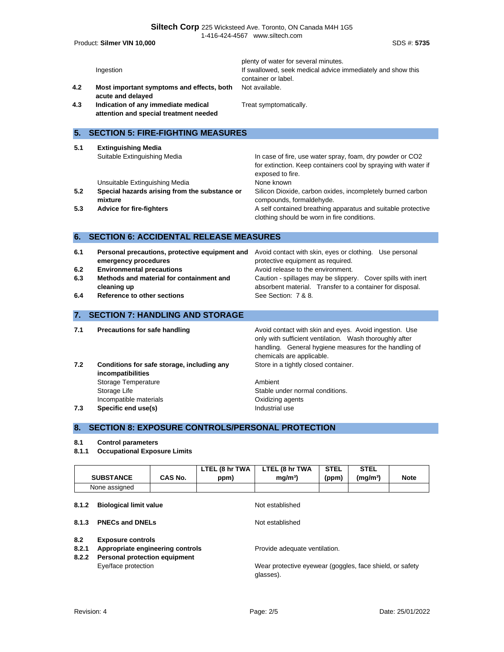|                          | Product: Silmer VIN 10,000                                                                                                                                                                           | SDS #: 5735                                                                                                                                                                                                                                                                           |
|--------------------------|------------------------------------------------------------------------------------------------------------------------------------------------------------------------------------------------------|---------------------------------------------------------------------------------------------------------------------------------------------------------------------------------------------------------------------------------------------------------------------------------------|
| 4.2<br>4.3               | Ingestion<br>Most important symptoms and effects, both<br>acute and delayed<br>Indication of any immediate medical<br>attention and special treatment needed                                         | plenty of water for several minutes.<br>If swallowed, seek medical advice immediately and show this<br>container or label.<br>Not available.<br>Treat symptomatically.                                                                                                                |
| 5.                       | <b>SECTION 5: FIRE-FIGHTING MEASURES</b>                                                                                                                                                             |                                                                                                                                                                                                                                                                                       |
| 5.1                      | <b>Extinguishing Media</b><br>Suitable Extinguishing Media                                                                                                                                           | In case of fire, use water spray, foam, dry powder or CO2<br>for extinction. Keep containers cool by spraying with water if<br>exposed to fire.                                                                                                                                       |
| 5.2                      | Unsuitable Extinguishing Media<br>Special hazards arising from the substance or<br>mixture                                                                                                           | None known<br>Silicon Dioxide, carbon oxides, incompletely burned carbon<br>compounds, formaldehyde.                                                                                                                                                                                  |
| 5.3                      | <b>Advice for fire-fighters</b>                                                                                                                                                                      | A self contained breathing apparatus and suitable protective<br>clothing should be worn in fire conditions.                                                                                                                                                                           |
| 6.                       | <b>SECTION 6: ACCIDENTAL RELEASE MEASURES</b>                                                                                                                                                        |                                                                                                                                                                                                                                                                                       |
| 6.1<br>6.2<br>6.3<br>6.4 | Personal precautions, protective equipment and<br>emergency procedures<br><b>Environmental precautions</b><br>Methods and material for containment and<br>cleaning up<br>Reference to other sections | Avoid contact with skin, eyes or clothing. Use personal<br>protective equipment as required.<br>Avoid release to the environment.<br>Caution - spillages may be slippery. Cover spills with inert<br>absorbent material. Transfer to a container for disposal.<br>See Section: 7 & 8. |
| 7.                       | <b>SECTION 7: HANDLING AND STORAGE</b>                                                                                                                                                               |                                                                                                                                                                                                                                                                                       |
| 7.1                      | Precautions for safe handling                                                                                                                                                                        | Avoid contact with skin and eyes. Avoid ingestion. Use<br>only with sufficient ventilation. Wash thoroughly after<br>handling. General hygiene measures for the handling of<br>chemicals are applicable.                                                                              |
| 7.2                      | Conditions for safe storage, including any<br>incompatibilities<br>Storage Temperature<br>Storage Life<br>Incompatible materials                                                                     | Store in a tightly closed container.<br>Ambient<br>Stable under normal conditions.<br>Oxidizing agents                                                                                                                                                                                |
| 7.3                      | Specific end use(s)                                                                                                                                                                                  | Industrial use                                                                                                                                                                                                                                                                        |

# **8. SECTION 8: EXPOSURE CONTROLS/PERSONAL PROTECTION**

#### **8.1 Control parameters**

**8.1.1 Occupational Exposure Limits**

|                                                                                                                               |                     |      | LTEL (8 hr TWA                                                        | LTEL (8 hr TWA  | <b>STEL</b>          | <b>STEL</b> |  |
|-------------------------------------------------------------------------------------------------------------------------------|---------------------|------|-----------------------------------------------------------------------|-----------------|----------------------|-------------|--|
| <b>SUBSTANCE</b><br>CAS No.                                                                                                   |                     | ppm) | mq/m <sup>3</sup>                                                     | (ppm)           | (mg/m <sup>3</sup> ) | <b>Note</b> |  |
| None assigned                                                                                                                 |                     |      |                                                                       |                 |                      |             |  |
| <b>Biological limit value</b><br>8.1.2                                                                                        |                     |      | Not established                                                       |                 |                      |             |  |
| <b>PNECs and DNELs</b><br>8.1.3                                                                                               |                     |      |                                                                       | Not established |                      |             |  |
|                                                                                                                               |                     |      |                                                                       |                 |                      |             |  |
| 8.2<br><b>Exposure controls</b><br>Appropriate engineering controls<br>8.2.1<br><b>Personal protection equipment</b><br>8.2.2 |                     |      | Provide adequate ventilation.                                         |                 |                      |             |  |
|                                                                                                                               | Eye/face protection |      | Wear protective eyewear (goggles, face shield, or safety<br>glasses). |                 |                      |             |  |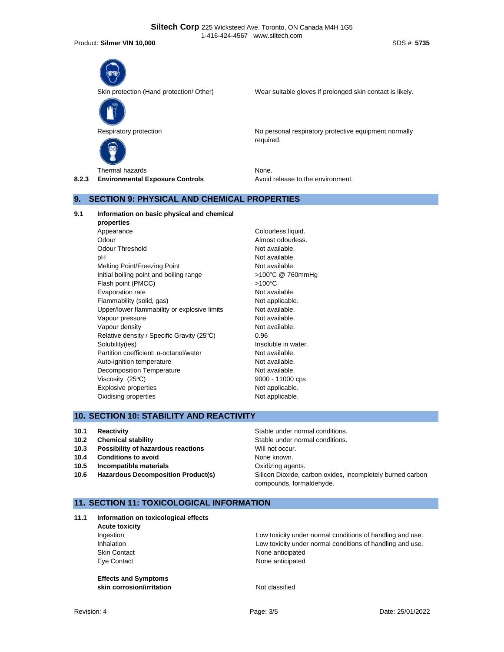Product: **Silmer VIN 10,000** SDS #: **5735**



Skin protection (Hand protection/ Other) Wear suitable gloves if prolonged skin contact is likely.



Respiratory protection **No personal respiratory protective equipment normally** No personal respiratory protective equipment normally required.

Thermal hazards None. **8.2.3 Environmental Exposure Controls Avoid release to the environment.** 

# **9. SECTION 9: PHYSICAL AND CHEMICAL PROPERTIES**

**9.1 Information on basic physical and chemical** 

**properties** Appearance Colourless liquid. Odour **Almost odourless**. Odour Threshold Not available. pH Not available. Melting Point/Freezing Point Not available. Initial boiling point and boiling range <br>
>100°C @ 760mmHg Flash point (PMCC)  $>100^{\circ}$ C Evaporation rate **Not available**. Flammability (solid, gas) Not applicable. Upper/lower flammability or explosive limits Not available. Vapour pressure and the Not available. Vapour density and the set of the Not available. Relative density / Specific Gravity (25°C) 0.96 Solubility(ies) **Insoluble in water.** Partition coefficient: n-octanol/water Not available. Auto-ignition temperature Not available. Decomposition Temperature Not available. Viscosity  $(25^{\circ}C)$  9000 - 11000 cps Explosive properties Not applicable. Oxidising properties Not applicable.

# **10. SECTION 10: STABILITY AND REACTIVITY**

- 
- 
- **10.3** Possibility of hazardous reactions Will not occur.
- **10.4 Conditions to avoid** None known.
- **10.5 Incompatible materials 10.5 Oxidizing agents.**
- 

**10.1 Reactivity 10.1 Reactivity Reactivity Reactivity Stable under normal conditions. 10.2 Chemical stability Chemical stability Stable under normal conditions. 10.6 Hazardous Decomposition Product(s)** Silicon Dioxide, carbon oxides, incompletely burned carbon compounds, formaldehyde.

# **11. SECTION 11: TOXICOLOGICAL INFORMATION**

**11.1 Information on toxicological effects**

**Acute toxicity**

**Effects and Symptoms skin corrosion/irritation** Not classified

Ingestion Low toxicity under normal conditions of handling and use. Inhalation **Inhalation** Low toxicity under normal conditions of handling and use. Skin Contact **None anticipated** Eye Contact **None anticipated**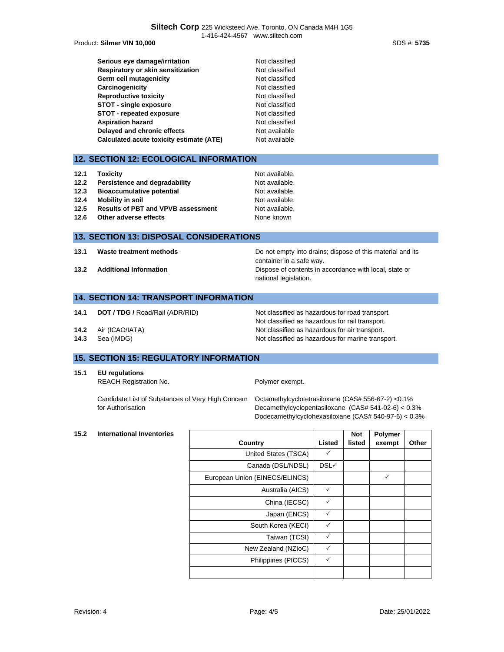Product: **Silmer VIN 10,000** SDS #: **5735**

| Serious eye damage/irritation            | Not classified |
|------------------------------------------|----------------|
| Respiratory or skin sensitization        | Not classified |
| Germ cell mutagenicity                   | Not classified |
| Carcinogenicity                          | Not classified |
| <b>Reproductive toxicity</b>             | Not classified |
| <b>STOT - single exposure</b>            | Not classified |
| STOT - repeated exposure                 | Not classified |
| <b>Aspiration hazard</b>                 | Not classified |
| Delayed and chronic effects              | Not available  |
| Calculated acute toxicity estimate (ATE) | Not available  |

# **12. SECTION 12: ECOLOGICAL INFORMATION**

| 12.1 | <b>Toxicity</b>                           | Not available. |
|------|-------------------------------------------|----------------|
| 12.2 | Persistence and degradability             | Not available. |
| 12.3 | <b>Bioaccumulative potential</b>          | Not available. |
| 12.4 | Mobility in soil                          | Not available. |
| 12.5 | <b>Results of PBT and VPVB assessment</b> | Not available. |
| 12.6 | Other adverse effects                     | None known     |

#### **13. SECTION 13: DISPOSAL CONSIDERATIONS**

**13.1 Waste treatment methods Do not empty into drains; dispose of this material and its** container in a safe way. **13.2 Additional Information 13.2 Additional Information Dispose of contents in accordance with local, state or** national legislation.

#### **14. SECTION 14: TRANSPORT INFORMATION**

- **14.1 <b>DOT / TDG /** Road/Rail (ADR/RID) Not classified as hazardous for road transport.
- 
- 

# Not classified as hazardous for rail transport. **14.2** Air (ICAO/IATA) Not classified as hazardous for air transport. **14.3** Sea (IMDG) **Not classified as hazardous for marine transport.**

## **15. SECTION 15: REGULATORY INFORMATION**

- **15.1 EU regulations**
	- REACH Registration No. **Polymer exempt.**

Candidate List of Substances of Very High Concern for Authorisation

Octamethylcyclotetrasiloxane (CAS# 556-67-2) <0.1% Decamethylcyclopentasiloxane (CAS# 541-02-6) < 0.3% Dodecamethylcyclohexasiloxane (CAS# 540-97-6) < 0.3%

#### **15.2 International Inventories**

|                                |              | <b>Not</b> | Polymer |       |
|--------------------------------|--------------|------------|---------|-------|
| Country                        | Listed       | listed     | exempt  | Other |
| United States (TSCA)           | ✓            |            |         |       |
| Canada (DSL/NDSL)              | DSL√         |            |         |       |
| European Union (EINECS/ELINCS) |              |            | ✓       |       |
| Australia (AICS)               | $\checkmark$ |            |         |       |
| China (IECSC)                  | $\checkmark$ |            |         |       |
| Japan (ENCS)                   | $\checkmark$ |            |         |       |
| South Korea (KECI)             | ✓            |            |         |       |
| Taiwan (TCSI)                  | $\checkmark$ |            |         |       |
| New Zealand (NZIoC)            | $\checkmark$ |            |         |       |
| Philippines (PICCS)            | $\checkmark$ |            |         |       |
|                                |              |            |         |       |